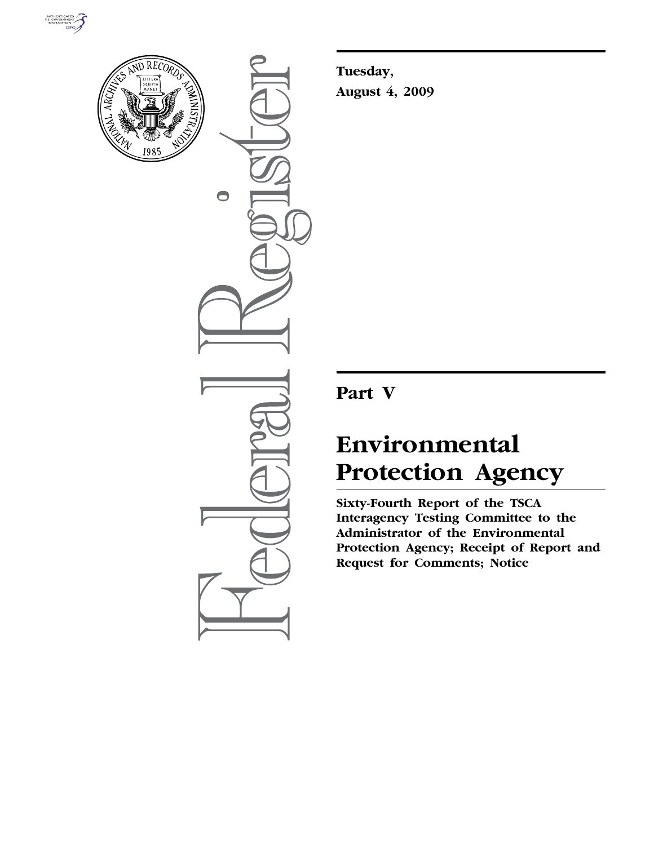



 $\bigcirc$ 

**Tuesday, August 4, 2009** 

# **Part V**

# **Environmental Protection Agency**

**Sixty-Fourth Report of the TSCA Interagency Testing Committee to the Administrator of the Environmental Protection Agency; Receipt of Report and Request for Comments; Notice**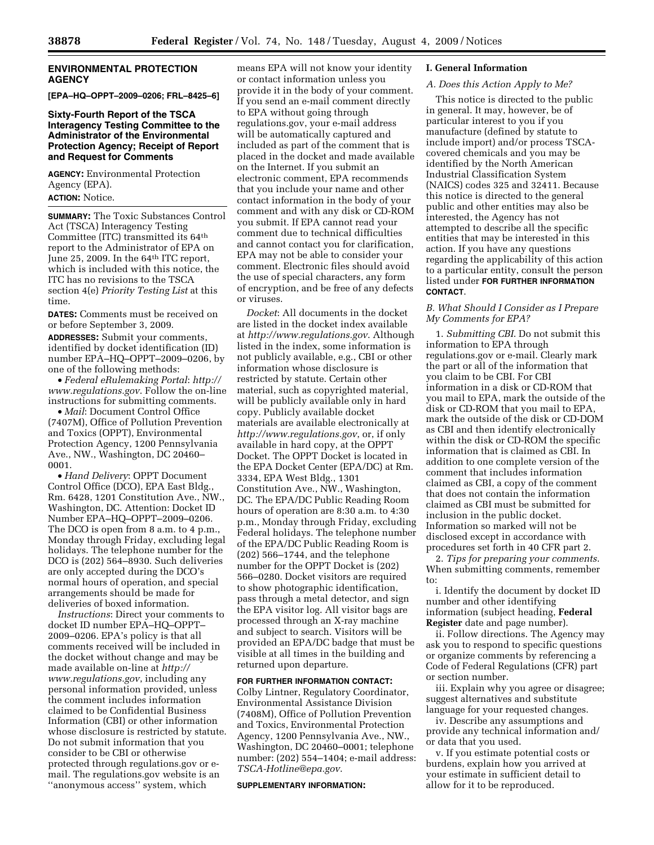# **ENVIRONMENTAL PROTECTION AGENCY**

**[EPA–HQ–OPPT–2009–0206; FRL–8425–6]** 

# **Sixty-Fourth Report of the TSCA Interagency Testing Committee to the Administrator of the Environmental Protection Agency; Receipt of Report and Request for Comments**

**AGENCY:** Environmental Protection Agency (EPA).

**ACTION:** Notice.

**SUMMARY:** The Toxic Substances Control Act (TSCA) Interagency Testing Committee (ITC) transmitted its 64th report to the Administrator of EPA on June 25, 2009. In the 64th ITC report, which is included with this notice, the ITC has no revisions to the TSCA section 4(e) *Priority Testing List* at this time.

**DATES:** Comments must be received on or before September 3, 2009.

**ADDRESSES:** Submit your comments, identified by docket identification (ID) number EPA–HQ–OPPT–2009–0206, by one of the following methods:

• *Federal eRulemaking Portal*: *http:// www.regulations.gov*. Follow the on-line instructions for submitting comments.

• *Mail*: Document Control Office (7407M), Office of Pollution Prevention and Toxics (OPPT), Environmental Protection Agency, 1200 Pennsylvania Ave., NW., Washington, DC 20460– 0001.

• *Hand Delivery*: OPPT Document Control Office (DCO), EPA East Bldg., Rm. 6428, 1201 Constitution Ave., NW., Washington, DC. Attention: Docket ID Number EPA–HQ–OPPT–2009–0206. The DCO is open from 8 a.m. to 4 p.m., Monday through Friday, excluding legal holidays. The telephone number for the DCO is (202) 564–8930. Such deliveries are only accepted during the DCO's normal hours of operation, and special arrangements should be made for deliveries of boxed information.

*Instructions*: Direct your comments to docket ID number EPA–HQ–OPPT– 2009–0206. EPA's policy is that all comments received will be included in the docket without change and may be made available on-line at *http:// www.regulations.gov*, including any personal information provided, unless the comment includes information claimed to be Confidential Business Information (CBI) or other information whose disclosure is restricted by statute. Do not submit information that you consider to be CBI or otherwise protected through regulations.gov or email. The regulations.gov website is an ''anonymous access'' system, which

means EPA will not know your identity or contact information unless you provide it in the body of your comment. If you send an e-mail comment directly to EPA without going through regulations.gov, your e-mail address will be automatically captured and included as part of the comment that is placed in the docket and made available on the Internet. If you submit an electronic comment, EPA recommends that you include your name and other contact information in the body of your comment and with any disk or CD-ROM you submit. If EPA cannot read your comment due to technical difficulties and cannot contact you for clarification, EPA may not be able to consider your comment. Electronic files should avoid the use of special characters, any form of encryption, and be free of any defects or viruses.

*Docket*: All documents in the docket are listed in the docket index available at *http://www.regulations.gov*. Although listed in the index, some information is not publicly available, e.g., CBI or other information whose disclosure is restricted by statute. Certain other material, such as copyrighted material, will be publicly available only in hard copy. Publicly available docket materials are available electronically at *http://www.regulations.gov*, or, if only available in hard copy, at the OPPT Docket. The OPPT Docket is located in the EPA Docket Center (EPA/DC) at Rm. 3334, EPA West Bldg., 1301 Constitution Ave., NW., Washington, DC. The EPA/DC Public Reading Room hours of operation are 8:30 a.m. to 4:30 p.m., Monday through Friday, excluding Federal holidays. The telephone number of the EPA/DC Public Reading Room is (202) 566–1744, and the telephone number for the OPPT Docket is (202) 566–0280. Docket visitors are required to show photographic identification, pass through a metal detector, and sign the EPA visitor log. All visitor bags are processed through an X-ray machine and subject to search. Visitors will be provided an EPA/DC badge that must be visible at all times in the building and returned upon departure.

# **FOR FURTHER INFORMATION CONTACT:**

Colby Lintner, Regulatory Coordinator, Environmental Assistance Division (7408M), Office of Pollution Prevention and Toxics, Environmental Protection Agency, 1200 Pennsylvania Ave., NW., Washington, DC 20460–0001; telephone number: (202) 554–1404; e-mail address: *TSCA-Hotline@epa.gov*.

#### **SUPPLEMENTARY INFORMATION:**

# **I. General Information**

#### *A. Does this Action Apply to Me?*

This notice is directed to the public in general. It may, however, be of particular interest to you if you manufacture (defined by statute to include import) and/or process TSCAcovered chemicals and you may be identified by the North American Industrial Classification System (NAICS) codes 325 and 32411. Because this notice is directed to the general public and other entities may also be interested, the Agency has not attempted to describe all the specific entities that may be interested in this action. If you have any questions regarding the applicability of this action to a particular entity, consult the person listed under **FOR FURTHER INFORMATION CONTACT**.

# *B. What Should I Consider as I Prepare My Comments for EPA?*

1. *Submitting CBI*. Do not submit this information to EPA through regulations.gov or e-mail. Clearly mark the part or all of the information that you claim to be CBI. For CBI information in a disk or CD-ROM that you mail to EPA, mark the outside of the disk or CD-ROM that you mail to EPA, mark the outside of the disk or CD-DOM as CBI and then identify electronically within the disk or CD-ROM the specific information that is claimed as CBI. In addition to one complete version of the comment that includes information claimed as CBI, a copy of the comment that does not contain the information claimed as CBI must be submitted for inclusion in the public docket. Information so marked will not be disclosed except in accordance with procedures set forth in 40 CFR part 2.

2. *Tips for preparing your comments*. When submitting comments, remember to:

i. Identify the document by docket ID number and other identifying information (subject heading, **Federal Register** date and page number).

ii. Follow directions. The Agency may ask you to respond to specific questions or organize comments by referencing a Code of Federal Regulations (CFR) part or section number.

iii. Explain why you agree or disagree; suggest alternatives and substitute language for your requested changes.

iv. Describe any assumptions and provide any technical information and/ or data that you used.

v. If you estimate potential costs or burdens, explain how you arrived at your estimate in sufficient detail to allow for it to be reproduced.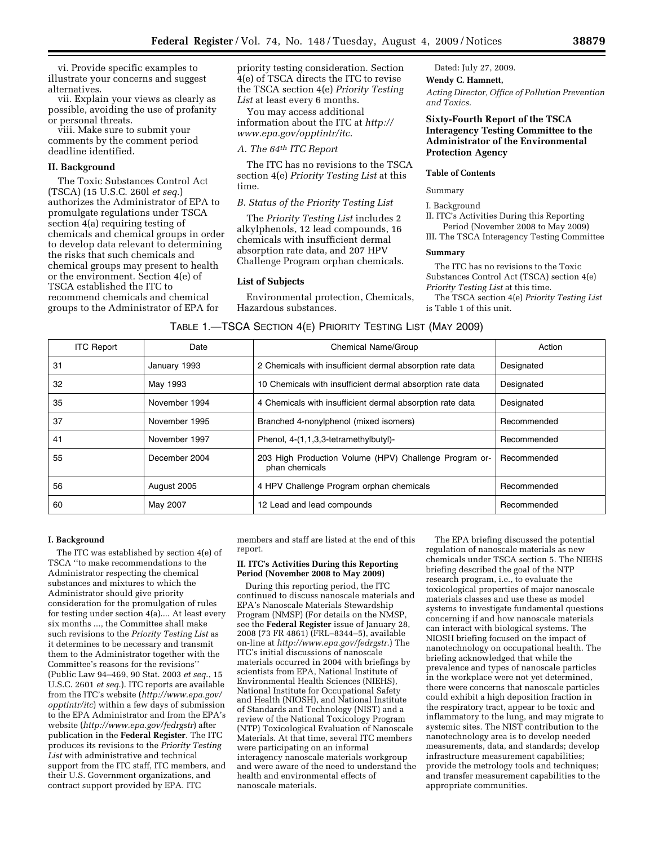vi. Provide specific examples to illustrate your concerns and suggest alternatives.

vii. Explain your views as clearly as possible, avoiding the use of profanity or personal threats.

viii. Make sure to submit your comments by the comment period deadline identified.

## **II. Background**

The Toxic Substances Control Act (TSCA) (15 U.S.C. 260l *et seq*.) authorizes the Administrator of EPA to promulgate regulations under TSCA section 4(a) requiring testing of chemicals and chemical groups in order to develop data relevant to determining the risks that such chemicals and chemical groups may present to health or the environment. Section 4(e) of TSCA established the ITC to recommend chemicals and chemical groups to the Administrator of EPA for

priority testing consideration. Section 4(e) of TSCA directs the ITC to revise the TSCA section 4(e) *Priority Testing*  List at least every 6 months.

You may access additional information about the ITC at *http:// www.epa.gov/opptintr/itc*.

# *A. The 64th ITC Report*

The ITC has no revisions to the TSCA section 4(e) *Priority Testing List* at this time.

#### *B. Status of the Priority Testing List*

The *Priority Testing List* includes 2 alkylphenols, 12 lead compounds, 16 chemicals with insufficient dermal absorption rate data, and 207 HPV Challenge Program orphan chemicals.

#### **List of Subjects**

Environmental protection, Chemicals, Hazardous substances.

Dated: July 27, 2009. **Wendy C. Hamnett,** 

*Acting Director, Office of Pollution Prevention and Toxics.* 

# **Sixty-Fourth Report of the TSCA Interagency Testing Committee to the Administrator of the Environmental Protection Agency**

#### **Table of Contents**

Summary

#### I. Background

II. ITC's Activities During this Reporting Period (November 2008 to May 2009)

# III. The TSCA Interagency Testing Committee

# **Summary**

The ITC has no revisions to the Toxic Substances Control Act (TSCA) section 4(e) *Priority Testing List* at this time.

The TSCA section 4(e) *Priority Testing List*  is Table 1 of this unit.

#### TABLE 1.—TSCA SECTION 4(E) PRIORITY TESTING LIST (MAY 2009)

| <b>ITC Report</b> | Date          | Chemical Name/Group                                                      | Action      |
|-------------------|---------------|--------------------------------------------------------------------------|-------------|
| 31                | January 1993  | 2 Chemicals with insufficient dermal absorption rate data                | Designated  |
| 32                | May 1993      | 10 Chemicals with insufficient dermal absorption rate data               | Designated  |
| 35                | November 1994 | 4 Chemicals with insufficient dermal absorption rate data                | Designated  |
| 37                | November 1995 | Branched 4-nonylphenol (mixed isomers)                                   | Recommended |
| 41                | November 1997 | Phenol, 4-(1,1,3,3-tetramethylbutyl)-                                    | Recommended |
| 55                | December 2004 | 203 High Production Volume (HPV) Challenge Program or-<br>phan chemicals | Recommended |
| 56                | August 2005   | 4 HPV Challenge Program orphan chemicals                                 | Recommended |
| 60                | May 2007      | 12 Lead and lead compounds                                               | Recommended |

#### **I. Background**

The ITC was established by section 4(e) of TSCA ''to make recommendations to the Administrator respecting the chemical substances and mixtures to which the Administrator should give priority consideration for the promulgation of rules for testing under section 4(a).... At least every six months ..., the Committee shall make such revisions to the *Priority Testing List* as it determines to be necessary and transmit them to the Administrator together with the Committee's reasons for the revisions'' (Public Law 94–469, 90 Stat. 2003 *et seq*., 15 U.S.C. 2601 *et seq*.). ITC reports are available from the ITC's website (*http://www.epa.gov/ opptintr/itc*) within a few days of submission to the EPA Administrator and from the EPA's website (*http://www.epa.gov/fedrgstr*) after publication in the **Federal Register**. The ITC produces its revisions to the *Priority Testing List* with administrative and technical support from the ITC staff, ITC members, and their U.S. Government organizations, and contract support provided by EPA. ITC

members and staff are listed at the end of this report.

#### **II. ITC's Activities During this Reporting Period (November 2008 to May 2009)**

During this reporting period, the ITC continued to discuss nanoscale materials and EPA's Nanoscale Materials Stewardship Program (NMSP) (For details on the NMSP, see the **Federal Register** issue of January 28, 2008 (73 FR 4861) (FRL–8344–5), available on-line at *http://www.epa.gov/fedrgstr*.) The ITC's initial discussions of nanoscale materials occurred in 2004 with briefings by scientists from EPA, National Institute of Environmental Health Sciences (NIEHS), National Institute for Occupational Safety and Health (NIOSH), and National Institute of Standards and Technology (NIST) and a review of the National Toxicology Program (NTP) Toxicological Evaluation of Nanoscale Materials. At that time, several ITC members were participating on an informal interagency nanoscale materials workgroup and were aware of the need to understand the health and environmental effects of nanoscale materials.

The EPA briefing discussed the potential regulation of nanoscale materials as new chemicals under TSCA section 5. The NIEHS briefing described the goal of the NTP research program, i.e., to evaluate the toxicological properties of major nanoscale materials classes and use these as model systems to investigate fundamental questions concerning if and how nanoscale materials can interact with biological systems. The NIOSH briefing focused on the impact of nanotechnology on occupational health. The briefing acknowledged that while the prevalence and types of nanoscale particles in the workplace were not yet determined, there were concerns that nanoscale particles could exhibit a high deposition fraction in the respiratory tract, appear to be toxic and inflammatory to the lung, and may migrate to systemic sites. The NIST contribution to the nanotechnology area is to develop needed measurements, data, and standards; develop infrastructure measurement capabilities; provide the metrology tools and techniques; and transfer measurement capabilities to the appropriate communities.